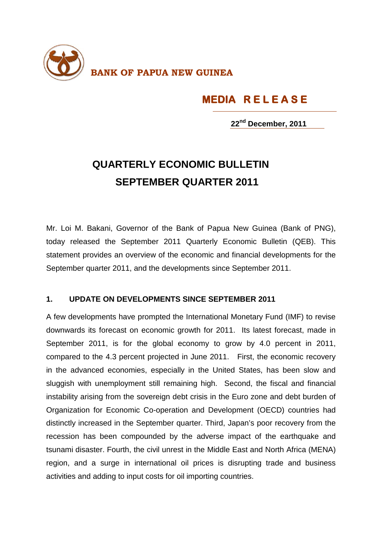

## **MEDIA R E L E A S E**

**22nd December, 2011**

## **QUARTERLY ECONOMIC BULLETIN SEPTEMBER QUARTER 2011**

Mr. Loi M. Bakani, Governor of the Bank of Papua New Guinea (Bank of PNG), today released the September 2011 Quarterly Economic Bulletin (QEB). This statement provides an overview of the economic and financial developments for the September quarter 2011, and the developments since September 2011.

## **1. UPDATE ON DEVELOPMENTS SINCE SEPTEMBER 2011**

A few developments have prompted the International Monetary Fund (IMF) to revise downwards its forecast on economic growth for 2011. Its latest forecast, made in September 2011, is for the global economy to grow by 4.0 percent in 2011, compared to the 4.3 percent projected in June 2011. First, the economic recovery in the advanced economies, especially in the United States, has been slow and sluggish with unemployment still remaining high. Second, the fiscal and financial instability arising from the sovereign debt crisis in the Euro zone and debt burden of Organization for Economic Co-operation and Development (OECD) countries had distinctly increased in the September quarter. Third, Japan's poor recovery from the recession has been compounded by the adverse impact of the earthquake and tsunami disaster. Fourth, the civil unrest in the Middle East and North Africa (MENA) region, and a surge in international oil prices is disrupting trade and business activities and adding to input costs for oil importing countries.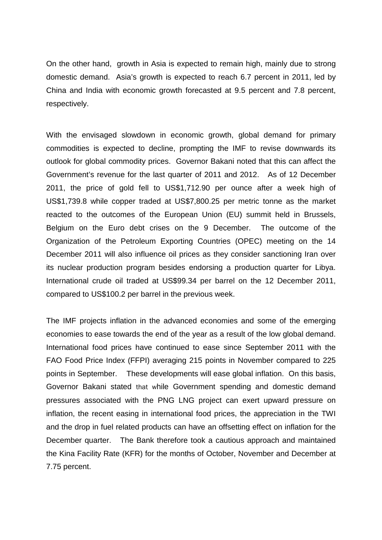On the other hand, growth in Asia is expected to remain high, mainly due to strong domestic demand. Asia's growth is expected to reach 6.7 percent in 2011, led by China and India with economic growth forecasted at 9.5 percent and 7.8 percent, respectively.

With the envisaged slowdown in economic growth, global demand for primary commodities is expected to decline, prompting the IMF to revise downwards its outlook for global commodity prices. Governor Bakani noted that this can affect the Government's revenue for the last quarter of 2011 and 2012. As of 12 December 2011, the price of gold fell to US\$1,712.90 per ounce after a week high of US\$1,739.8 while copper traded at US\$7,800.25 per metric tonne as the market reacted to the outcomes of the European Union (EU) summit held in Brussels, Belgium on the Euro debt crises on the 9 December. The outcome of the Organization of the Petroleum Exporting Countries (OPEC) meeting on the 14 December 2011 will also influence oil prices as they consider sanctioning Iran over its nuclear production program besides endorsing a production quarter for Libya. International crude oil traded at US\$99.34 per barrel on the 12 December 2011, compared to US\$100.2 per barrel in the previous week.

The IMF projects inflation in the advanced economies and some of the emerging economies to ease towards the end of the year as a result of the low global demand. International food prices have continued to ease since September 2011 with the FAO Food Price Index (FFPI) averaging 215 points in November compared to 225 points in September. These developments will ease global inflation. On this basis, Governor Bakani stated that while Government spending and domestic demand pressures associated with the PNG LNG project can exert upward pressure on inflation, the recent easing in international food prices, the appreciation in the TWI and the drop in fuel related products can have an offsetting effect on inflation for the December quarter. The Bank therefore took a cautious approach and maintained the Kina Facility Rate (KFR) for the months of October, November and December at 7.75 percent.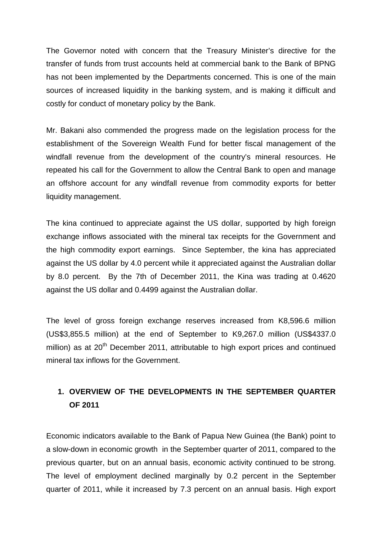The Governor noted with concern that the Treasury Minister's directive for the transfer of funds from trust accounts held at commercial bank to the Bank of BPNG has not been implemented by the Departments concerned. This is one of the main sources of increased liquidity in the banking system, and is making it difficult and costly for conduct of monetary policy by the Bank.

Mr. Bakani also commended the progress made on the legislation process for the establishment of the Sovereign Wealth Fund for better fiscal management of the windfall revenue from the development of the country's mineral resources. He repeated his call for the Government to allow the Central Bank to open and manage an offshore account for any windfall revenue from commodity exports for better liquidity management.

The kina continued to appreciate against the US dollar, supported by high foreign exchange inflows associated with the mineral tax receipts for the Government and the high commodity export earnings. Since September, the kina has appreciated against the US dollar by 4.0 percent while it appreciated against the Australian dollar by 8.0 percent. By the 7th of December 2011, the Kina was trading at 0.4620 against the US dollar and 0.4499 against the Australian dollar.

The level of gross foreign exchange reserves increased from K8,596.6 million (US\$3,855.5 million) at the end of September to K9,267.0 million (US\$4337.0 million) as at  $20<sup>th</sup>$  December 2011, attributable to high export prices and continued mineral tax inflows for the Government.

## **1. OVERVIEW OF THE DEVELOPMENTS IN THE SEPTEMBER QUARTER OF 2011**

Economic indicators available to the Bank of Papua New Guinea (the Bank) point to a slow-down in economic growth in the September quarter of 2011, compared to the previous quarter, but on an annual basis, economic activity continued to be strong. The level of employment declined marginally by 0.2 percent in the September quarter of 2011, while it increased by 7.3 percent on an annual basis. High export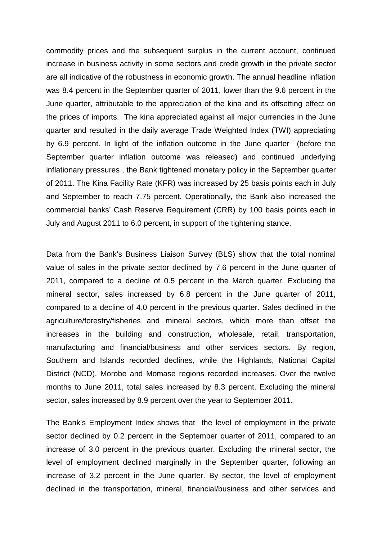commodity prices and the subsequent surplus in the current account, continued increase in business activity in some sectors and credit growth in the private sector are all indicative of the robustness in economic growth. The annual headline inflation was 8.4 percent in the September quarter of 2011, lower than the 9.6 percent in the June quarter, attributable to the appreciation of the kina and its offsetting effect on the prices of imports. The kina appreciated against all major currencies in the June quarter and resulted in the daily average Trade Weighted Index (TWI) appreciating by 6.9 percent. In light of the inflation outcome in the June quarter (before the September quarter inflation outcome was released) and continued underlying inflationary pressures , the Bank tightened monetary policy in the September quarter of 2011. The Kina Facility Rate (KFR) was increased by 25 basis points each in July and September to reach 7.75 percent. Operationally, the Bank also increased the commercial banks' Cash Reserve Requirement (CRR) by 100 basis points each in July and August 2011 to 6.0 percent, in support of the tightening stance.

Data from the Bank's Business Liaison Survey (BLS) show that the total nominal value of sales in the private sector declined by 7.6 percent in the June quarter of 2011, compared to a decline of 0.5 percent in the March quarter. Excluding the mineral sector, sales increased by 6.8 percent in the June quarter of 2011, compared to a decline of 4.0 percent in the previous quarter. Sales declined in the agriculture/forestry/fisheries and mineral sectors, which more than offset the increases in the building and construction, wholesale, retail, transportation, manufacturing and financial/business and other services sectors. By region, Southern and Islands recorded declines, while the Highlands, National Capital District (NCD), Morobe and Momase regions recorded increases. Over the twelve months to June 2011, total sales increased by 8.3 percent. Excluding the mineral sector, sales increased by 8.9 percent over the year to September 2011.

The Bank's Employment Index shows that the level of employment in the private sector declined by 0.2 percent in the September quarter of 2011, compared to an increase of 3.0 percent in the previous quarter. Excluding the mineral sector, the level of employment declined marginally in the September quarter, following an increase of 3.2 percent in the June quarter. By sector, the level of employment declined in the transportation, mineral, financial/business and other services and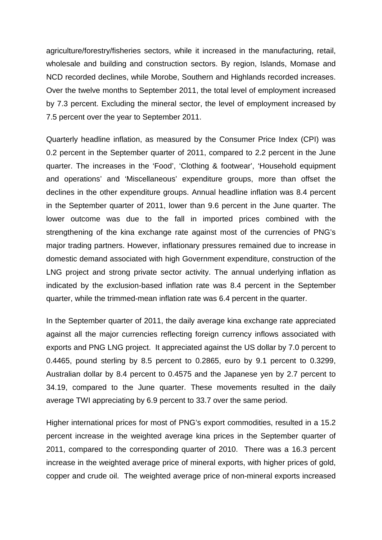agriculture/forestry/fisheries sectors, while it increased in the manufacturing, retail, wholesale and building and construction sectors. By region, Islands, Momase and NCD recorded declines, while Morobe, Southern and Highlands recorded increases. Over the twelve months to September 2011, the total level of employment increased by 7.3 percent. Excluding the mineral sector, the level of employment increased by 7.5 percent over the year to September 2011.

Quarterly headline inflation, as measured by the Consumer Price Index (CPI) was 0.2 percent in the September quarter of 2011, compared to 2.2 percent in the June quarter. The increases in the 'Food', 'Clothing & footwear', 'Household equipment and operations' and 'Miscellaneous' expenditure groups, more than offset the declines in the other expenditure groups. Annual headline inflation was 8.4 percent in the September quarter of 2011, lower than 9.6 percent in the June quarter. The lower outcome was due to the fall in imported prices combined with the strengthening of the kina exchange rate against most of the currencies of PNG's major trading partners. However, inflationary pressures remained due to increase in domestic demand associated with high Government expenditure, construction of the LNG project and strong private sector activity. The annual underlying inflation as indicated by the exclusion-based inflation rate was 8.4 percent in the September quarter, while the trimmed-mean inflation rate was 6.4 percent in the quarter.

In the September quarter of 2011, the daily average kina exchange rate appreciated against all the major currencies reflecting foreign currency inflows associated with exports and PNG LNG project. It appreciated against the US dollar by 7.0 percent to 0.4465, pound sterling by 8.5 percent to 0.2865, euro by 9.1 percent to 0.3299, Australian dollar by 8.4 percent to 0.4575 and the Japanese yen by 2.7 percent to 34.19, compared to the June quarter. These movements resulted in the daily average TWI appreciating by 6.9 percent to 33.7 over the same period.

Higher international prices for most of PNG's export commodities, resulted in a 15.2 percent increase in the weighted average kina prices in the September quarter of 2011, compared to the corresponding quarter of 2010. There was a 16.3 percent increase in the weighted average price of mineral exports, with higher prices of gold, copper and crude oil. The weighted average price of non-mineral exports increased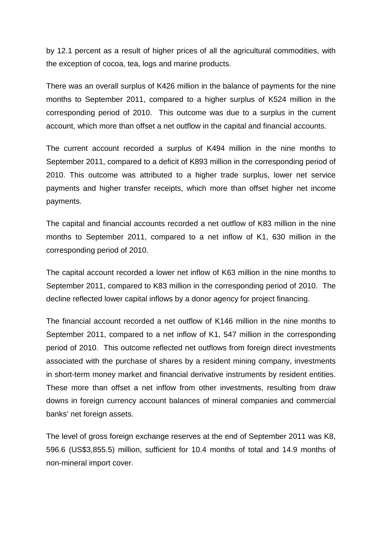by 12.1 percent as a result of higher prices of all the agricultural commodities, with the exception of cocoa, tea, logs and marine products.

There was an overall surplus of K426 million in the balance of payments for the nine months to September 2011, compared to a higher surplus of K524 million in the corresponding period of 2010. This outcome was due to a surplus in the current account, which more than offset a net outflow in the capital and financial accounts.

The current account recorded a surplus of K494 million in the nine months to September 2011, compared to a deficit of K893 million in the corresponding period of 2010. This outcome was attributed to a higher trade surplus, lower net service payments and higher transfer receipts, which more than offset higher net income payments.

The capital and financial accounts recorded a net outflow of K83 million in the nine months to September 2011, compared to a net inflow of K1, 630 million in the corresponding period of 2010.

The capital account recorded a lower net inflow of K63 million in the nine months to September 2011, compared to K83 million in the corresponding period of 2010. The decline reflected lower capital inflows by a donor agency for project financing.

The financial account recorded a net outflow of K146 million in the nine months to September 2011, compared to a net inflow of K1, 547 million in the corresponding period of 2010. This outcome reflected net outflows from foreign direct investments associated with the purchase of shares by a resident mining company, investments in short-term money market and financial derivative instruments by resident entities. These more than offset a net inflow from other investments, resulting from draw downs in foreign currency account balances of mineral companies and commercial banks' net foreign assets.

The level of gross foreign exchange reserves at the end of September 2011 was K8, 596.6 (US\$3,855.5) million, sufficient for 10.4 months of total and 14.9 months of non-mineral import cover.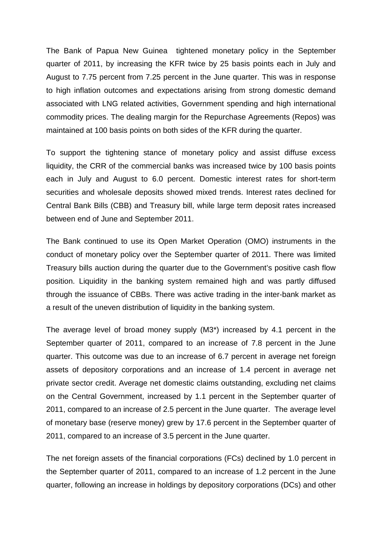The Bank of Papua New Guinea tightened monetary policy in the September quarter of 2011, by increasing the KFR twice by 25 basis points each in July and August to 7.75 percent from 7.25 percent in the June quarter. This was in response to high inflation outcomes and expectations arising from strong domestic demand associated with LNG related activities, Government spending and high international commodity prices. The dealing margin for the Repurchase Agreements (Repos) was maintained at 100 basis points on both sides of the KFR during the quarter.

To support the tightening stance of monetary policy and assist diffuse excess liquidity, the CRR of the commercial banks was increased twice by 100 basis points each in July and August to 6.0 percent. Domestic interest rates for short-term securities and wholesale deposits showed mixed trends. Interest rates declined for Central Bank Bills (CBB) and Treasury bill, while large term deposit rates increased between end of June and September 2011.

The Bank continued to use its Open Market Operation (OMO) instruments in the conduct of monetary policy over the September quarter of 2011. There was limited Treasury bills auction during the quarter due to the Government's positive cash flow position. Liquidity in the banking system remained high and was partly diffused through the issuance of CBBs. There was active trading in the inter-bank market as a result of the uneven distribution of liquidity in the banking system.

The average level of broad money supply (M3\*) increased by 4.1 percent in the September quarter of 2011, compared to an increase of 7.8 percent in the June quarter. This outcome was due to an increase of 6.7 percent in average net foreign assets of depository corporations and an increase of 1.4 percent in average net private sector credit. Average net domestic claims outstanding, excluding net claims on the Central Government, increased by 1.1 percent in the September quarter of 2011, compared to an increase of 2.5 percent in the June quarter. The average level of monetary base (reserve money) grew by 17.6 percent in the September quarter of 2011, compared to an increase of 3.5 percent in the June quarter.

The net foreign assets of the financial corporations (FCs) declined by 1.0 percent in the September quarter of 2011, compared to an increase of 1.2 percent in the June quarter, following an increase in holdings by depository corporations (DCs) and other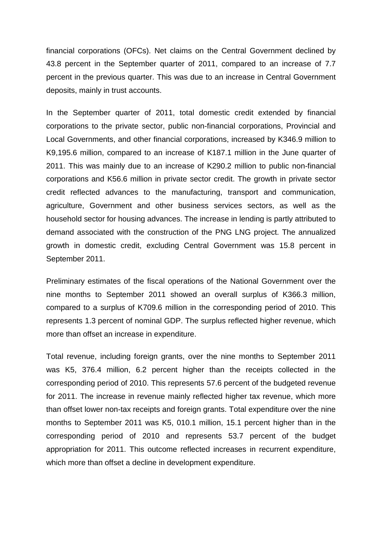financial corporations (OFCs). Net claims on the Central Government declined by 43.8 percent in the September quarter of 2011, compared to an increase of 7.7 percent in the previous quarter. This was due to an increase in Central Government deposits, mainly in trust accounts.

In the September quarter of 2011, total domestic credit extended by financial corporations to the private sector, public non-financial corporations, Provincial and Local Governments, and other financial corporations, increased by K346.9 million to K9,195.6 million, compared to an increase of K187.1 million in the June quarter of 2011. This was mainly due to an increase of K290.2 million to public non-financial corporations and K56.6 million in private sector credit. The growth in private sector credit reflected advances to the manufacturing, transport and communication, agriculture, Government and other business services sectors, as well as the household sector for housing advances. The increase in lending is partly attributed to demand associated with the construction of the PNG LNG project. The annualized growth in domestic credit, excluding Central Government was 15.8 percent in September 2011.

Preliminary estimates of the fiscal operations of the National Government over the nine months to September 2011 showed an overall surplus of K366.3 million, compared to a surplus of K709.6 million in the corresponding period of 2010. This represents 1.3 percent of nominal GDP. The surplus reflected higher revenue, which more than offset an increase in expenditure.

Total revenue, including foreign grants, over the nine months to September 2011 was K5, 376.4 million, 6.2 percent higher than the receipts collected in the corresponding period of 2010. This represents 57.6 percent of the budgeted revenue for 2011. The increase in revenue mainly reflected higher tax revenue, which more than offset lower non-tax receipts and foreign grants. Total expenditure over the nine months to September 2011 was K5, 010.1 million, 15.1 percent higher than in the corresponding period of 2010 and represents 53.7 percent of the budget appropriation for 2011. This outcome reflected increases in recurrent expenditure, which more than offset a decline in development expenditure.